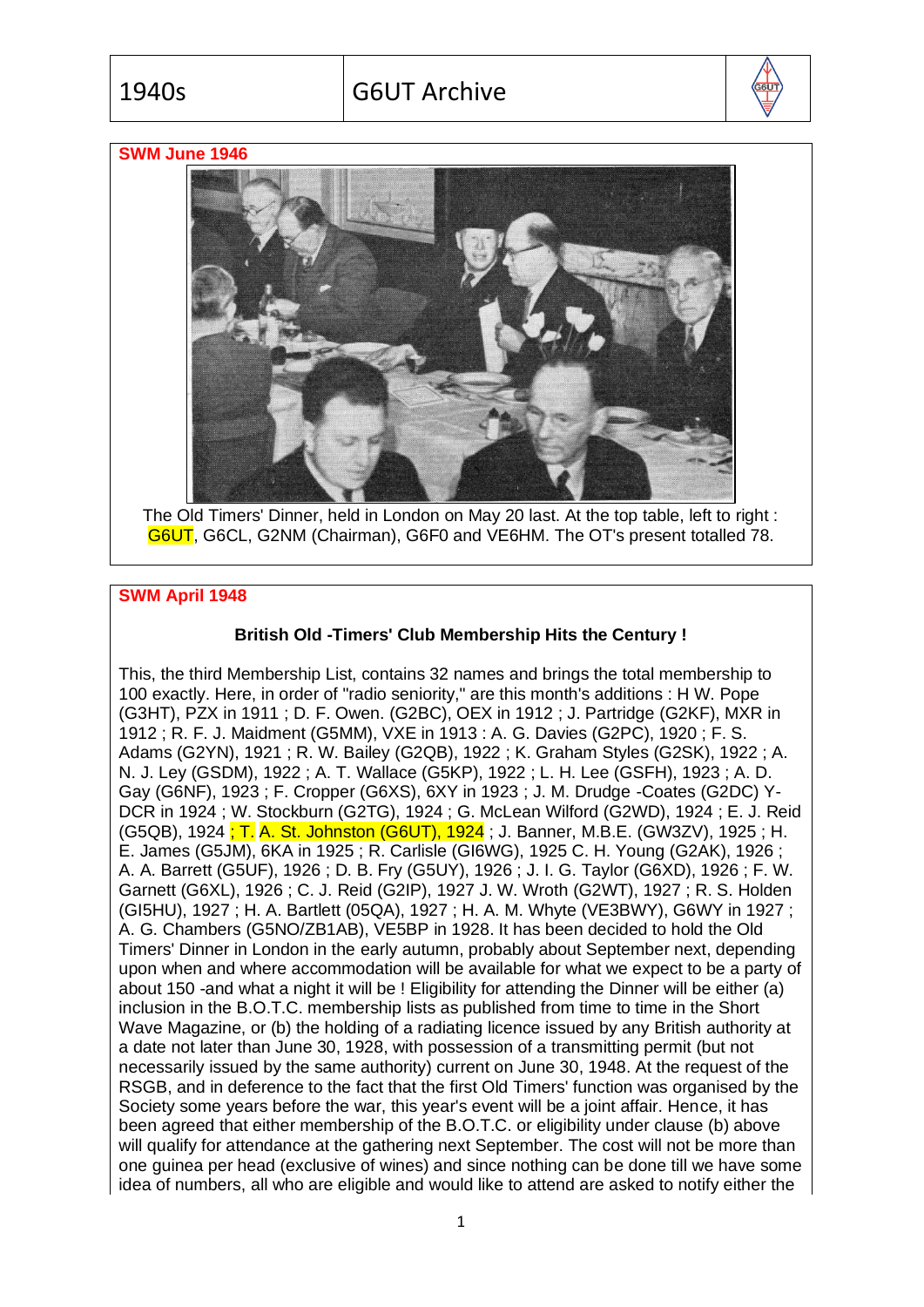

## **SWM June 1946**



The Old Timers' Dinner, held in London on May 20 last. At the top table, left to right : G6UT, G6CL, G2NM (Chairman), G6F0 and VE6HM. The OT's present totalled 78.

## **SWM April 1948**

## **British Old -Timers' Club Membership Hits the Century !**

This, the third Membership List, contains 32 names and brings the total membership to 100 exactly. Here, in order of "radio seniority," are this month's additions : H W. Pope (G3HT), PZX in 1911 ; D. F. Owen. (G2BC), OEX in 1912 ; J. Partridge (G2KF), MXR in 1912 ; R. F. J. Maidment (G5MM), VXE in 1913 : A. G. Davies (G2PC), 1920 ; F. S. Adams (G2YN), 1921 ; R. W. Bailey (G2QB), 1922 ; K. Graham Styles (G2SK), 1922 ; A. N. J. Ley (GSDM), 1922 ; A. T. Wallace (G5KP), 1922 ; L. H. Lee (GSFH), 1923 ; A. D. Gay (G6NF), 1923 ; F. Cropper (G6XS), 6XY in 1923 ; J. M. Drudge -Coates (G2DC) Y-DCR in 1924 ; W. Stockburn (G2TG), 1924 ; G. McLean Wilford (G2WD), 1924 ; E. J. Reid (G5QB), 1924 ; T. A. St. Johnston (G6UT), 1924 ; J. Banner, M.B.E. (GW3ZV), 1925 ; H. E. James (G5JM), 6KA in 1925 ; R. Carlisle (GI6WG), 1925 C. H. Young (G2AK), 1926 ; A. A. Barrett (G5UF), 1926 ; D. B. Fry (G5UY), 1926 ; J. I. G. Taylor (G6XD), 1926 ; F. W. Garnett (G6XL), 1926 ; C. J. Reid (G2IP), 1927 J. W. Wroth (G2WT), 1927 ; R. S. Holden (GI5HU), 1927 ; H. A. Bartlett (05QA), 1927 ; H. A. M. Whyte (VE3BWY), G6WY in 1927 ; A. G. Chambers (G5NO/ZB1AB), VE5BP in 1928. It has been decided to hold the Old Timers' Dinner in London in the early autumn, probably about September next, depending upon when and where accommodation will be available for what we expect to be a party of about 150 -and what a night it will be ! Eligibility for attending the Dinner will be either (a) inclusion in the B.O.T.C. membership lists as published from time to time in the Short Wave Magazine, or (b) the holding of a radiating licence issued by any British authority at a date not later than June 30, 1928, with possession of a transmitting permit (but not necessarily issued by the same authority) current on June 30, 1948. At the request of the RSGB, and in deference to the fact that the first Old Timers' function was organised by the Society some years before the war, this year's event will be a joint affair. Hence, it has been agreed that either membership of the B.O.T.C. or eligibility under clause (b) above will qualify for attendance at the gathering next September. The cost will not be more than one guinea per head (exclusive of wines) and since nothing can be done till we have some idea of numbers, all who are eligible and would like to attend are asked to notify either the